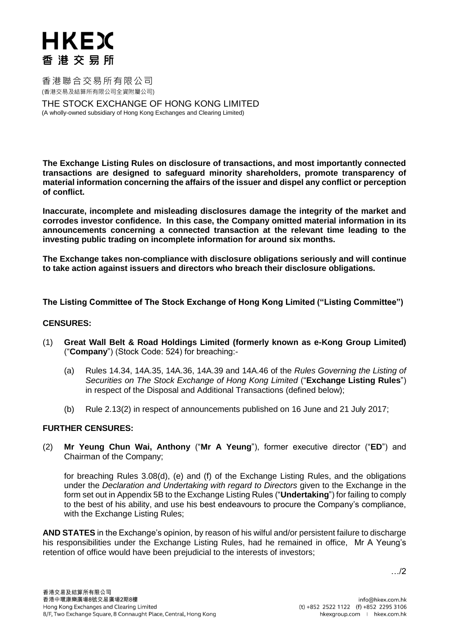香港聯合交易所有限公司 (香港交易及結算所有限公司全資附屬公司)

THE STOCK EXCHANGE OF HONG KONG LIMITED (A wholly-owned subsidiary of Hong Kong Exchanges and Clearing Limited)

**The Exchange Listing Rules on disclosure of transactions, and most importantly connected transactions are designed to safeguard minority shareholders, promote transparency of material information concerning the affairs of the issuer and dispel any conflict or perception of conflict.**

**Inaccurate, incomplete and misleading disclosures damage the integrity of the market and corrodes investor confidence. In this case, the Company omitted material information in its announcements concerning a connected transaction at the relevant time leading to the investing public trading on incomplete information for around six months.** 

**The Exchange takes non-compliance with disclosure obligations seriously and will continue to take action against issuers and directors who breach their disclosure obligations.**

**The Listing Committee of The Stock Exchange of Hong Kong Limited ("Listing Committee")**

### **CENSURES:**

- (1) **Great Wall Belt & Road Holdings Limited (formerly known as e-Kong Group Limited)** ("**Company**") (Stock Code: 524) for breaching:-
	- (a) Rules 14.34, 14A.35, 14A.36, 14A.39 and 14A.46 of the *Rules Governing the Listing of Securities on The Stock Exchange of Hong Kong Limited* ("**Exchange Listing Rules**") in respect of the Disposal and Additional Transactions (defined below);
	- (b) Rule 2.13(2) in respect of announcements published on 16 June and 21 July 2017;

### **FURTHER CENSURES:**

(2) **Mr Yeung Chun Wai, Anthony** ("**Mr A Yeung**"), former executive director ("**ED**") and Chairman of the Company;

for breaching Rules 3.08(d), (e) and (f) of the Exchange Listing Rules, and the obligations under the *Declaration and Undertaking with regard to Directors* given to the Exchange in the form set out in Appendix 5B to the Exchange Listing Rules ("**Undertaking**") for failing to comply to the best of his ability, and use his best endeavours to procure the Company's compliance, with the Exchange Listing Rules;

**AND STATES** in the Exchange's opinion, by reason of his wilful and/or persistent failure to discharge his responsibilities under the Exchange Listing Rules, had he remained in office, Mr A Yeung's retention of office would have been prejudicial to the interests of investors;

…/2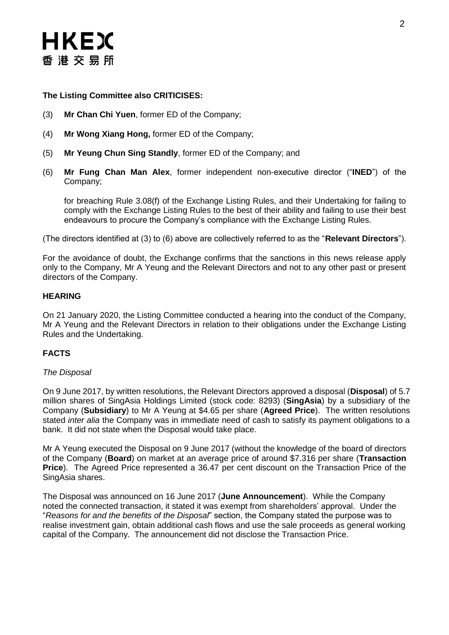## **The Listing Committee also CRITICISES:**

- (3) **Mr Chan Chi Yuen**, former ED of the Company;
- (4) **Mr Wong Xiang Hong,** former ED of the Company;
- (5) **Mr Yeung Chun Sing Standly**, former ED of the Company; and
- (6) **Mr Fung Chan Man Alex**, former independent non-executive director ("**INED**") of the Company;

for breaching Rule 3.08(f) of the Exchange Listing Rules, and their Undertaking for failing to comply with the Exchange Listing Rules to the best of their ability and failing to use their best endeavours to procure the Company's compliance with the Exchange Listing Rules.

(The directors identified at (3) to (6) above are collectively referred to as the "**Relevant Directors**").

For the avoidance of doubt, the Exchange confirms that the sanctions in this news release apply only to the Company, Mr A Yeung and the Relevant Directors and not to any other past or present directors of the Company.

### **HEARING**

On 21 January 2020, the Listing Committee conducted a hearing into the conduct of the Company, Mr A Yeung and the Relevant Directors in relation to their obligations under the Exchange Listing Rules and the Undertaking.

# **FACTS**

### *The Disposal*

On 9 June 2017, by written resolutions, the Relevant Directors approved a disposal (**Disposal**) of 5.7 million shares of SingAsia Holdings Limited (stock code: 8293) (**SingAsia**) by a subsidiary of the Company (**Subsidiary**) to Mr A Yeung at \$4.65 per share (**Agreed Price**). The written resolutions stated *inter alia* the Company was in immediate need of cash to satisfy its payment obligations to a bank. It did not state when the Disposal would take place.

Mr A Yeung executed the Disposal on 9 June 2017 (without the knowledge of the board of directors of the Company (**Board**) on market at an average price of around \$7.316 per share (**Transaction Price**). The Agreed Price represented a 36.47 per cent discount on the Transaction Price of the SingAsia shares.

The Disposal was announced on 16 June 2017 (**June Announcement**). While the Company noted the connected transaction, it stated it was exempt from shareholders' approval. Under the "*Reasons for and the benefits of the Disposal*" section, the Company stated the purpose was to realise investment gain, obtain additional cash flows and use the sale proceeds as general working capital of the Company. The announcement did not disclose the Transaction Price.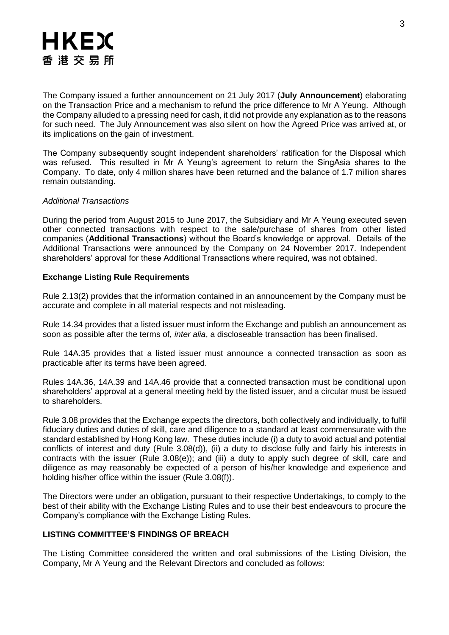The Company issued a further announcement on 21 July 2017 (**July Announcement**) elaborating on the Transaction Price and a mechanism to refund the price difference to Mr A Yeung. Although the Company alluded to a pressing need for cash, it did not provide any explanation as to the reasons for such need. The July Announcement was also silent on how the Agreed Price was arrived at, or its implications on the gain of investment.

The Company subsequently sought independent shareholders' ratification for the Disposal which was refused. This resulted in Mr A Yeung's agreement to return the SingAsia shares to the Company. To date, only 4 million shares have been returned and the balance of 1.7 million shares remain outstanding.

### *Additional Transactions*

During the period from August 2015 to June 2017, the Subsidiary and Mr A Yeung executed seven other connected transactions with respect to the sale/purchase of shares from other listed companies (**Additional Transactions**) without the Board's knowledge or approval. Details of the Additional Transactions were announced by the Company on 24 November 2017. Independent shareholders' approval for these Additional Transactions where required, was not obtained.

## **Exchange Listing Rule Requirements**

Rule 2.13(2) provides that the information contained in an announcement by the Company must be accurate and complete in all material respects and not misleading.

Rule 14.34 provides that a listed issuer must inform the Exchange and publish an announcement as soon as possible after the terms of, *inter alia*, a discloseable transaction has been finalised.

Rule 14A.35 provides that a listed issuer must announce a connected transaction as soon as practicable after its terms have been agreed.

Rules 14A.36, 14A.39 and 14A.46 provide that a connected transaction must be conditional upon shareholders' approval at a general meeting held by the listed issuer, and a circular must be issued to shareholders.

Rule 3.08 provides that the Exchange expects the directors, both collectively and individually, to fulfil fiduciary duties and duties of skill, care and diligence to a standard at least commensurate with the standard established by Hong Kong law. These duties include (i) a duty to avoid actual and potential conflicts of interest and duty (Rule 3.08(d)), (ii) a duty to disclose fully and fairly his interests in contracts with the issuer (Rule 3.08(e)); and (iii) a duty to apply such degree of skill, care and diligence as may reasonably be expected of a person of his/her knowledge and experience and holding his/her office within the issuer (Rule 3.08(f)).

The Directors were under an obligation, pursuant to their respective Undertakings, to comply to the best of their ability with the Exchange Listing Rules and to use their best endeavours to procure the Company's compliance with the Exchange Listing Rules.

### **LISTING COMMITTEE'S FINDINGS OF BREACH**

The Listing Committee considered the written and oral submissions of the Listing Division, the Company, Mr A Yeung and the Relevant Directors and concluded as follows: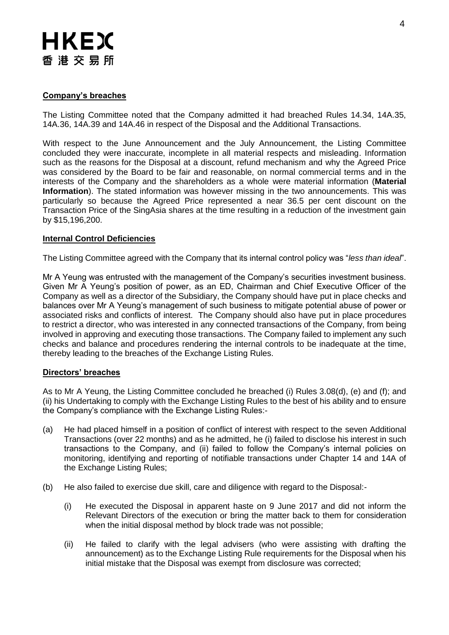# **Company's breaches**

The Listing Committee noted that the Company admitted it had breached Rules 14.34, 14A.35, 14A.36, 14A.39 and 14A.46 in respect of the Disposal and the Additional Transactions.

With respect to the June Announcement and the July Announcement, the Listing Committee concluded they were inaccurate, incomplete in all material respects and misleading. Information such as the reasons for the Disposal at a discount, refund mechanism and why the Agreed Price was considered by the Board to be fair and reasonable, on normal commercial terms and in the interests of the Company and the shareholders as a whole were material information (**Material Information**). The stated information was however missing in the two announcements. This was particularly so because the Agreed Price represented a near 36.5 per cent discount on the Transaction Price of the SingAsia shares at the time resulting in a reduction of the investment gain by \$15,196,200.

#### **Internal Control Deficiencies**

The Listing Committee agreed with the Company that its internal control policy was "*less than ideal*".

Mr A Yeung was entrusted with the management of the Company's securities investment business. Given Mr A Yeung's position of power, as an ED, Chairman and Chief Executive Officer of the Company as well as a director of the Subsidiary, the Company should have put in place checks and balances over Mr A Yeung's management of such business to mitigate potential abuse of power or associated risks and conflicts of interest. The Company should also have put in place procedures to restrict a director, who was interested in any connected transactions of the Company, from being involved in approving and executing those transactions. The Company failed to implement any such checks and balance and procedures rendering the internal controls to be inadequate at the time, thereby leading to the breaches of the Exchange Listing Rules.

#### **Directors' breaches**

As to Mr A Yeung, the Listing Committee concluded he breached (i) Rules 3.08(d), (e) and (f); and (ii) his Undertaking to comply with the Exchange Listing Rules to the best of his ability and to ensure the Company's compliance with the Exchange Listing Rules:-

- (a) He had placed himself in a position of conflict of interest with respect to the seven Additional Transactions (over 22 months) and as he admitted, he (i) failed to disclose his interest in such transactions to the Company, and (ii) failed to follow the Company's internal policies on monitoring, identifying and reporting of notifiable transactions under Chapter 14 and 14A of the Exchange Listing Rules;
- (b) He also failed to exercise due skill, care and diligence with regard to the Disposal:-
	- (i) He executed the Disposal in apparent haste on 9 June 2017 and did not inform the Relevant Directors of the execution or bring the matter back to them for consideration when the initial disposal method by block trade was not possible;
	- (ii) He failed to clarify with the legal advisers (who were assisting with drafting the announcement) as to the Exchange Listing Rule requirements for the Disposal when his initial mistake that the Disposal was exempt from disclosure was corrected;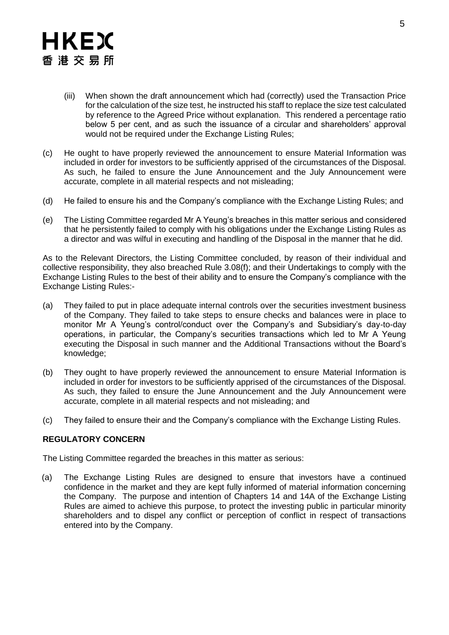- (iii) When shown the draft announcement which had (correctly) used the Transaction Price for the calculation of the size test, he instructed his staff to replace the size test calculated by reference to the Agreed Price without explanation. This rendered a percentage ratio below 5 per cent, and as such the issuance of a circular and shareholders' approval would not be required under the Exchange Listing Rules;
- (c) He ought to have properly reviewed the announcement to ensure Material Information was included in order for investors to be sufficiently apprised of the circumstances of the Disposal. As such, he failed to ensure the June Announcement and the July Announcement were accurate, complete in all material respects and not misleading;
- (d) He failed to ensure his and the Company's compliance with the Exchange Listing Rules; and
- (e) The Listing Committee regarded Mr A Yeung's breaches in this matter serious and considered that he persistently failed to comply with his obligations under the Exchange Listing Rules as a director and was wilful in executing and handling of the Disposal in the manner that he did.

As to the Relevant Directors, the Listing Committee concluded, by reason of their individual and collective responsibility, they also breached Rule 3.08(f); and their Undertakings to comply with the Exchange Listing Rules to the best of their ability and to ensure the Company's compliance with the Exchange Listing Rules:-

- (a) They failed to put in place adequate internal controls over the securities investment business of the Company. They failed to take steps to ensure checks and balances were in place to monitor Mr A Yeung's control/conduct over the Company's and Subsidiary's day-to-day operations, in particular, the Company's securities transactions which led to Mr A Yeung executing the Disposal in such manner and the Additional Transactions without the Board's knowledge;
- (b) They ought to have properly reviewed the announcement to ensure Material Information is included in order for investors to be sufficiently apprised of the circumstances of the Disposal. As such, they failed to ensure the June Announcement and the July Announcement were accurate, complete in all material respects and not misleading; and
- (c) They failed to ensure their and the Company's compliance with the Exchange Listing Rules.

# **REGULATORY CONCERN**

The Listing Committee regarded the breaches in this matter as serious:

(a) The Exchange Listing Rules are designed to ensure that investors have a continued confidence in the market and they are kept fully informed of material information concerning the Company. The purpose and intention of Chapters 14 and 14A of the Exchange Listing Rules are aimed to achieve this purpose, to protect the investing public in particular minority shareholders and to dispel any conflict or perception of conflict in respect of transactions entered into by the Company.